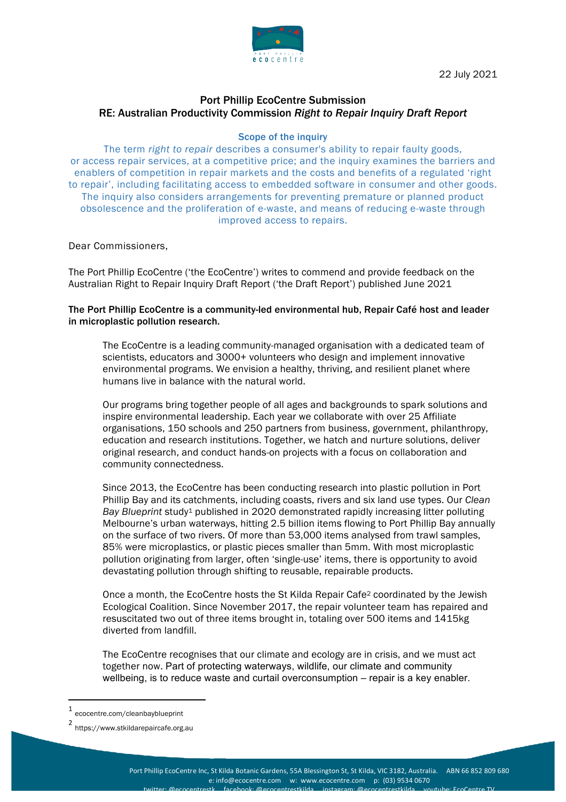

22 July 2021

# Port Phillip EcoCentre Submission RE: Australian Productivity Commission *Right to Repair Inquiry Draft Report*

# Scope of the inquiry

The term *right to repair* describes a consumer's ability to repair faulty goods, or access repair services, at a competitive price; and the inquiry examines the barriers and enablers of competition in repair markets and the costs and benefits of a regulated 'right to repair', including facilitating access to embedded software in consumer and other goods. The inquiry also considers arrangements for preventing premature or planned product obsolescence and the proliferation of e-waste, and means of reducing e-waste through improved access to repairs.

Dear Commissioners,

The Port Phillip EcoCentre ('the EcoCentre') writes to commend and provide feedback on the Australian Right to Repair Inquiry Draft Report ('the Draft Report') published June 2021

# The Port Phillip EcoCentre is a community-led environmental hub, Repair Café host and leader in microplastic pollution research.

The EcoCentre is a leading community-managed organisation with a dedicated team of scientists, educators and 3000+ volunteers who design and implement innovative environmental programs. We envision a healthy, thriving, and resilient planet where humans live in balance with the natural world.

Our programs bring together people of all ages and backgrounds to spark solutions and inspire environmental leadership. Each year we collaborate with over 25 Affiliate organisations, 150 schools and 250 partners from business, government, philanthropy, education and research institutions. Together, we hatch and nurture solutions, deliver original research, and conduct hands-on projects with a focus on collaboration and community connectedness.

Since 2013, the EcoCentre has been conducting research into plastic pollution in Port Phillip Bay and its catchments, including coasts, rivers and six land use types. Our *Clean Bay Blueprint* study1 published in 2020 demonstrated rapidly increasing litter polluting Melbourne's urban waterways, hitting 2.5 billion items flowing to Port Phillip Bay annually on the surface of two rivers. Of more than 53,000 items analysed from trawl samples, 85% were microplastics, or plastic pieces smaller than 5mm. With most microplastic pollution originating from larger, often 'single-use' items, there is opportunity to avoid devastating pollution through shifting to reusable, repairable products.

Once a month, the EcoCentre hosts the St Kilda Repair Cafe2 coordinated by the Jewish Ecological Coalition. Since November 2017, the repair volunteer team has repaired and resuscitated two out of three items brought in, totaling over 500 items and 1415kg diverted from landfill.

The EcoCentre recognises that our climate and ecology are in crisis, and we must act together now. Part of protecting waterways, wildlife, our climate and community wellbeing, is to reduce waste and curtail overconsumption – repair is a key enabler.

 

<sup>1</sup> ecocentre.com/cleanbayblueprint

<sup>2</sup> https://www.stkildarepaircafe.org.au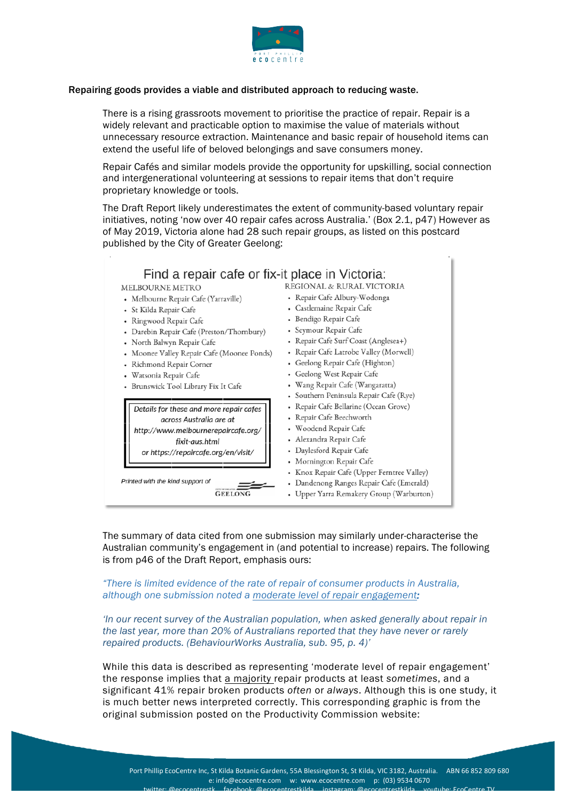

# Repairing goods provides a viable and distributed approach to reducing waste.

There is a rising grassroots movement to prioritise the practice of repair. Repair is a widely relevant and practicable option to maximise the value of materials without unnecessary resource extraction. Maintenance and basic repair of household items can extend the useful life of beloved belongings and save consumers money.

Repair Cafés and similar models provide the opportunity for upskilling, social connection and intergenerational volunteering at sessions to repair items that don't require proprietary knowledge or tools.

The Draft Report likely underestimates the extent of community-based voluntary repair initiatives, noting 'now over 40 repair cafes across Australia.' (Box 2.1, p47) However as of May 2019, Victoria alone had 28 such repair groups, as listed on this postcard published by the City of Greater Geelong:

T

| Find a repair cafe or fix-it place in Victoria: |                                            |  |  |  |
|-------------------------------------------------|--------------------------------------------|--|--|--|
| <b>MELBOURNE METRO</b>                          | REGIONAL & RURAL VICTORIA                  |  |  |  |
| · Melbourne Repair Cafe (Yarraville)            | • Repair Cafe Albury-Wodonga               |  |  |  |
| • St Kilda Repair Cafe                          | • Castlemaine Repair Cafe                  |  |  |  |
| · Ringwood Repair Cafe                          | • Bendigo Repair Cafe                      |  |  |  |
| • Darebin Repair Cafe (Preston/Thornbury)       | • Seymour Repair Cafe                      |  |  |  |
| • North Balwyn Repair Cafe                      | • Repair Cafe Surf Coast (Anglesea+)       |  |  |  |
| • Moonee Valley Repair Cafe (Moonee Ponds)      | • Repair Cafe Latrobe Valley (Morwell)     |  |  |  |
| • Richmond Repair Corner                        | • Geelong Repair Cafe (Highton)            |  |  |  |
| • Watsonia Repair Cafe                          | • Geelong West Repair Cafe                 |  |  |  |
| · Brunswick Tool Library Fix It Cafe            | • Wang Repair Cafe (Wangaratta)            |  |  |  |
|                                                 | • Southern Peninsula Repair Cafe (Rye)     |  |  |  |
| Details for these and more repair cafes         | • Repair Cafe Bellarine (Ocean Grove)      |  |  |  |
| across Australia are at                         | • Repair Cafe Beechworth                   |  |  |  |
| http://www.melbournerepaircafe.org/             | • Woodend Repair Cafe                      |  |  |  |
| fixit-aus.html                                  | • Alexandra Repair Cafe                    |  |  |  |
| or https://repaircafe.org/en/visit/             | • Daylesford Repair Cafe                   |  |  |  |
|                                                 | • Mornington Repair Cafe                   |  |  |  |
|                                                 | • Knox Repair Cafe (Upper Ferntree Valley) |  |  |  |
| Printed with the kind support of                | • Dandenong Ranges Repair Cafe (Emerald)   |  |  |  |
| <b>GEELONG</b>                                  | • Upper Yarra Remakery Group (Warburton)   |  |  |  |

The summary of data cited from one submission may similarly under-characterise the Australian community's engagement in (and potential to increase) repairs. The following is from p46 of the Draft Report, emphasis ours:

*"There is limited evidence of the rate of repair of consumer products in Australia, although one submission noted a moderate level of repair engagement:*

*'In our recent survey of the Australian population, when asked generally about repair in the last year, more than 20% of Australians reported that they have never or rarely repaired products. (BehaviourWorks Australia, sub. 95, p. 4)'*

While this data is described as representing 'moderate level of repair engagement' the response implies that a majority repair products at least *sometimes*, and a significant 41% repair broken products *often* or *always*. Although this is one study, it is much better news interpreted correctly. This corresponding graphic is from the original submission posted on the Productivity Commission website: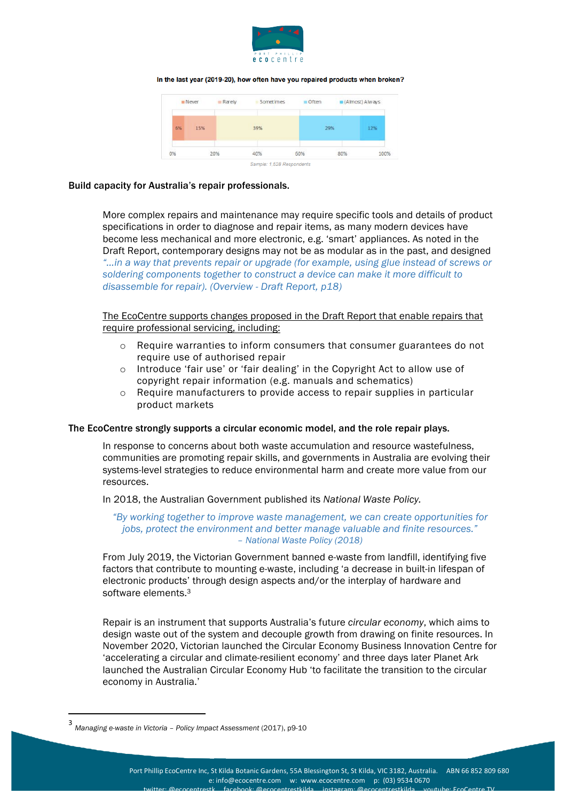

In the last year (2019-20), how often have you repaired products when broken?

|    | <b>III</b> Never | Rarely | Sometimes | $\blacksquare$ Often |     | $(A$ Imost) Always |
|----|------------------|--------|-----------|----------------------|-----|--------------------|
| 6% | 15%              |        | 39%       |                      | 29% | 12%                |
| 0% |                  | 20%    | 40%       | 60%                  | 80% | 100%               |

#### Build capacity for Australia's repair professionals.

More complex repairs and maintenance may require specific tools and details of product specifications in order to diagnose and repair items, as many modern devices have become less mechanical and more electronic, e.g. 'smart' appliances. As noted in the Draft Report, contemporary designs may not be as modular as in the past, and designed *"…in a way that prevents repair or upgrade (for example, using glue instead of screws or soldering components together to construct a device can make it more difficult to disassemble for repair). (Overview - Draft Report, p18)*

The EcoCentre supports changes proposed in the Draft Report that enable repairs that require professional servicing, including:

- o Require warranties to inform consumers that consumer guarantees do not require use of authorised repair
- o Introduce 'fair use' or 'fair dealing' in the Copyright Act to allow use of copyright repair information (e.g. manuals and schematics)
- o Require manufacturers to provide access to repair supplies in particular product markets

#### The EcoCentre strongly supports a circular economic model, and the role repair plays.

In response to concerns about both waste accumulation and resource wastefulness, communities are promoting repair skills, and governments in Australia are evolving their systems-level strategies to reduce environmental harm and create more value from our resources.

In 2018, the Australian Government published its *National Waste Policy.*

#### *"By working together to improve waste management, we can create opportunities for jobs, protect the environment and better manage valuable and finite resources." – National Waste Policy (2018)*

From July 2019, the Victorian Government banned e-waste from landfill, identifying five factors that contribute to mounting e-waste, including 'a decrease in built-in lifespan of electronic products' through design aspects and/or the interplay of hardware and software elements.3

Repair is an instrument that supports Australia's future *circular economy*, which aims to design waste out of the system and decouple growth from drawing on finite resources. In November 2020, Victorian launched the Circular Economy Business Innovation Centre for 'accelerating a circular and climate-resilient economy' and three days later Planet Ark launched the Australian Circular Economy Hub 'to facilitate the transition to the circular economy in Australia.'

 

<sup>3</sup> *Managing e-waste in Victoria – Policy Impact Assessment* (2017), p9-10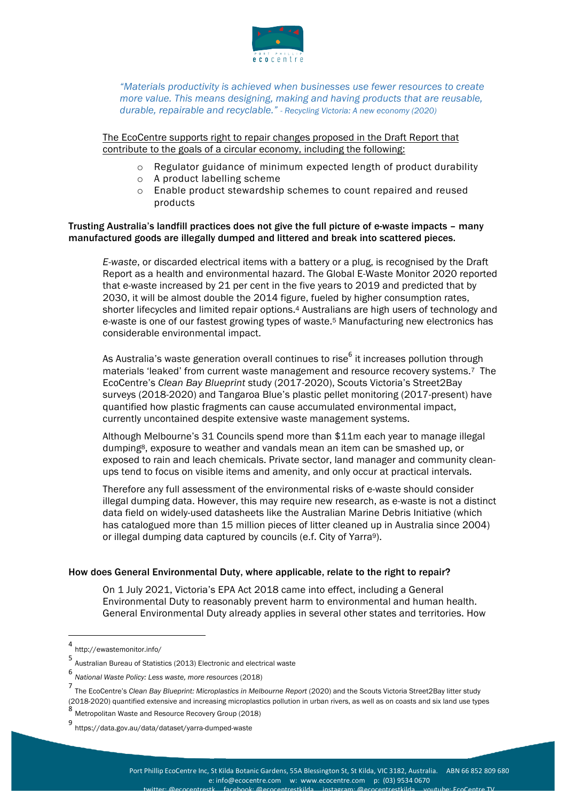

*"Materials productivity is achieved when businesses use fewer resources to create more value. This means designing, making and having products that are reusable, durable, repairable and recyclable." - Recycling Victoria: A new economy (2020)*

# The EcoCentre supports right to repair changes proposed in the Draft Report that contribute to the goals of a circular economy, including the following:

- o Regulator guidance of minimum expected length of product durability
- o A product labelling scheme
- o Enable product stewardship schemes to count repaired and reused products

### Trusting Australia's landfill practices does not give the full picture of e-waste impacts – many manufactured goods are illegally dumped and littered and break into scattered pieces.

*E-waste*, or discarded electrical items with a battery or a plug, is recognised by the Draft Report as a health and environmental hazard. The Global E-Waste Monitor 2020 reported that e-waste increased by 21 per cent in the five years to 2019 and predicted that by 2030, it will be almost double the 2014 figure, fueled by higher consumption rates, shorter lifecycles and limited repair options.4 Australians are high users of technology and e-waste is one of our fastest growing types of waste.5 Manufacturing new electronics has considerable environmental impact.

As Australia's waste generation overall continues to rise $^6$  it increases pollution through materials 'leaked' from current waste management and resource recovery systems.<sup>7</sup> The EcoCentre's *Clean Bay Blueprint* study (2017-2020), Scouts Victoria's Street2Bay surveys (2018-2020) and Tangaroa Blue's plastic pellet monitoring (2017-present) have quantified how plastic fragments can cause accumulated environmental impact, currently uncontained despite extensive waste management systems.

Although Melbourne's 31 Councils spend more than \$11m each year to manage illegal dumping8, exposure to weather and vandals mean an item can be smashed up, or exposed to rain and leach chemicals. Private sector, land manager and community cleanups tend to focus on visible items and amenity, and only occur at practical intervals.

Therefore any full assessment of the environmental risks of e-waste should consider illegal dumping data. However, this may require new research, as e-waste is not a distinct data field on widely-used datasheets like the Australian Marine Debris Initiative (which has catalogued more than 15 million pieces of litter cleaned up in Australia since 2004) or illegal dumping data captured by councils (e.f. City of Yarra9).

# How does General Environmental Duty, where applicable, relate to the right to repair?

On 1 July 2021, Victoria's EPA Act 2018 came into effect, including a General Environmental Duty to reasonably prevent harm to environmental and human health. General Environmental Duty already applies in several other states and territories. How

 

<sup>4</sup> http://ewastemonitor.info/

<sup>5</sup> Australian Bureau of Statistics (2013) Electronic and electrical waste

<sup>6</sup> *National Waste Policy: Less waste, more resources* (2018)

<sup>7</sup> The EcoCentre's *Clean Bay Blueprint: Microplastics in Melbourne Report* (2020) and the Scouts Victoria Street2Bay litter study (2018-2020) quantified extensive and increasing microplastics pollution in urban rivers, as well as on coasts and six land use types

<sup>8</sup> Metropolitan Waste and Resource Recovery Group (2018)

<sup>9</sup> https://data.gov.au/data/dataset/yarra-dumped-waste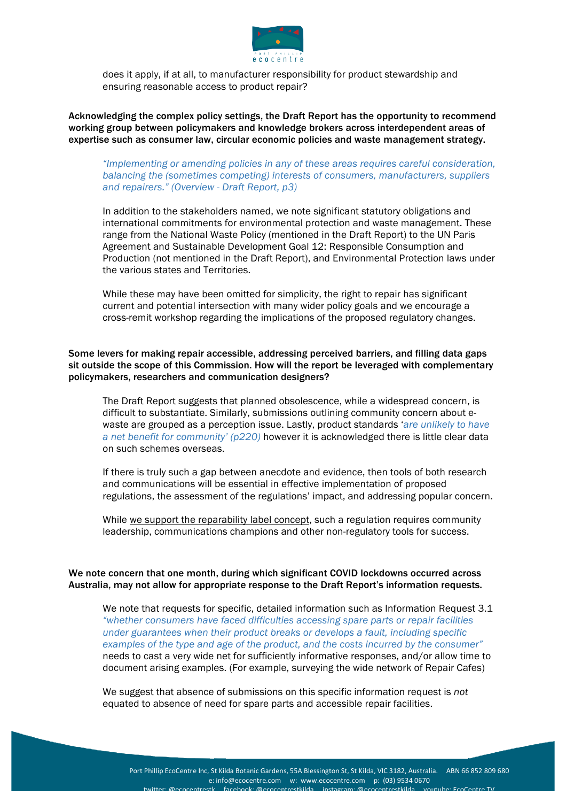

does it apply, if at all, to manufacturer responsibility for product stewardship and ensuring reasonable access to product repair?

Acknowledging the complex policy settings, the Draft Report has the opportunity to recommend working group between policymakers and knowledge brokers across interdependent areas of expertise such as consumer law, circular economic policies and waste management strategy.

# *"Implementing or amending policies in any of these areas requires careful consideration, balancing the (sometimes competing) interests of consumers, manufacturers, suppliers and repairers." (Overview - Draft Report, p3)*

In addition to the stakeholders named, we note significant statutory obligations and international commitments for environmental protection and waste management. These range from the National Waste Policy (mentioned in the Draft Report) to the UN Paris Agreement and Sustainable Development Goal 12: Responsible Consumption and Production (not mentioned in the Draft Report), and Environmental Protection laws under the various states and Territories.

While these may have been omitted for simplicity, the right to repair has significant current and potential intersection with many wider policy goals and we encourage a cross-remit workshop regarding the implications of the proposed regulatory changes.

## Some levers for making repair accessible, addressing perceived barriers, and filling data gaps sit outside the scope of this Commission. How will the report be leveraged with complementary policymakers, researchers and communication designers?

The Draft Report suggests that planned obsolescence, while a widespread concern, is difficult to substantiate. Similarly, submissions outlining community concern about ewaste are grouped as a perception issue. Lastly, product standards '*are unlikely to have a net benefit for community' (p220)* however it is acknowledged there is little clear data on such schemes overseas.

If there is truly such a gap between anecdote and evidence, then tools of both research and communications will be essential in effective implementation of proposed regulations, the assessment of the regulations' impact, and addressing popular concern.

While we support the reparability label concept, such a regulation requires community leadership, communications champions and other non-regulatory tools for success.

# We note concern that one month, during which significant COVID lockdowns occurred across Australia, may not allow for appropriate response to the Draft Report's information requests.

We note that requests for specific, detailed information such as Information Request 3.1 *"whether consumers have faced difficulties accessing spare parts or repair facilities under guarantees when their product breaks or develops a fault, including specific examples of the type and age of the product, and the costs incurred by the consumer"* needs to cast a very wide net for sufficiently informative responses, and/or allow time to document arising examples. (For example, surveying the wide network of Repair Cafes)

We suggest that absence of submissions on this specific information request is *not* equated to absence of need for spare parts and accessible repair facilities.